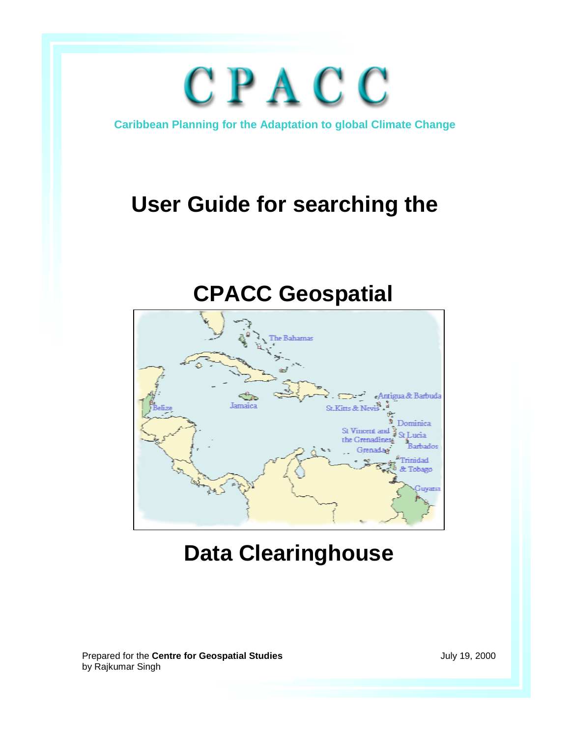# CPACC

**Caribbean Planning for the Adaptation to global Climate Change** 

## **User Guide for searching the**

## **CPACC Geospatial**



## **Data Clearinghouse**

July 19, 2000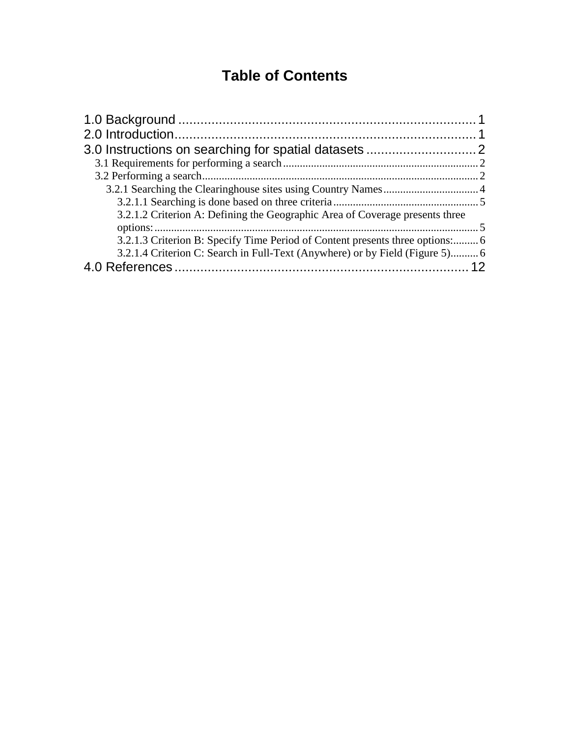### **Table of Contents**

| 3.2.1.2 Criterion A: Defining the Geographic Area of Coverage presents three       |  |
|------------------------------------------------------------------------------------|--|
| 3.2.1.3 Criterion B: Specify Time Period of Content presents three options:6       |  |
| 3.2.1.4 Criterion C: Search in Full-Text (Anywhere) or by Field (Figure 5) 6<br>12 |  |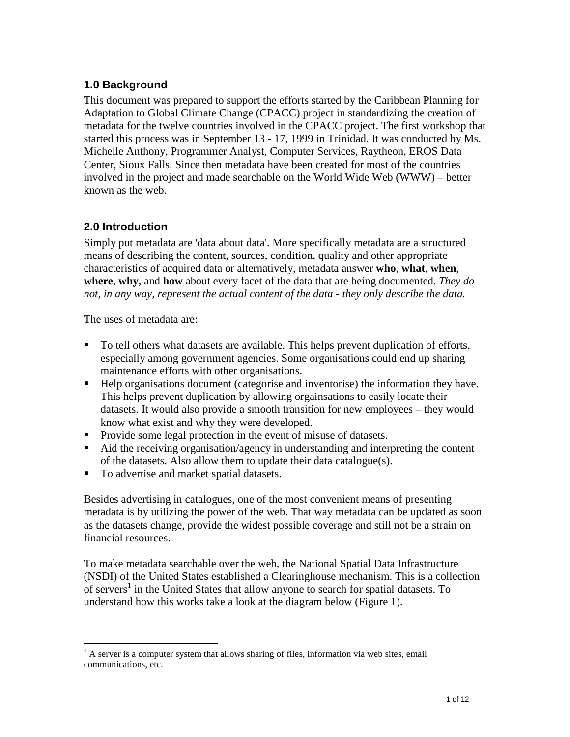#### <span id="page-2-0"></span>**1.0 Background**

This document was prepared to support the efforts started by the Caribbean Planning for Adaptation to Global Climate Change (CPACC) project in standardizing the creation of metadata for the twelve countries involved in the CPACC project. The first workshop that started this process was in September 13 - 17, 1999 in Trinidad. It was conducted by Ms. Michelle Anthony, Programmer Analyst, Computer Services, Raytheon, EROS Data Center, Sioux Falls. Since then metadata have been created for most of the countries involved in the project and made searchable on the World Wide Web (WWW) – better known as the web.

#### **2.0 Introduction**

Simply put metadata are 'data about data'. More specifically metadata are a structured means of describing the content, sources, condition, quality and other appropriate characteristics of acquired data or alternatively, metadata answer **who**, **what**, **when**, **where**, **why**, and **how** about every facet of the data that are being documented. *They do not, in any way, represent the actual content of the data - they only describe the data.*

The uses of metadata are:

 $\overline{a}$ 

- To tell others what datasets are available. This helps prevent duplication of efforts, especially among government agencies. Some organisations could end up sharing maintenance efforts with other organisations.
- Help organisations document (categorise and inventorise) the information they have. This helps prevent duplication by allowing orgainsations to easily locate their datasets. It would also provide a smooth transition for new employees – they would know what exist and why they were developed.
- **Provide some legal protection in the event of misuse of datasets.**
- Aid the receiving organisation/agency in understanding and interpreting the content of the datasets. Also allow them to update their data catalogue(s).
- To advertise and market spatial datasets.

Besides advertising in catalogues, one of the most convenient means of presenting metadata is by utilizing the power of the web. That way metadata can be updated as soon as the datasets change, provide the widest possible coverage and still not be a strain on financial resources.

To make metadata searchable over the web, the National Spatial Data Infrastructure (NSDI) of the United States established a Clearinghouse mechanism. This is a collection of servers<sup>1</sup> in the United States that allow anyone to search for spatial datasets. To understand how this works take a look at the diagram below (Figure 1).

 $<sup>1</sup>$  A server is a computer system that allows sharing of files, information via web sites, email</sup> communications, etc.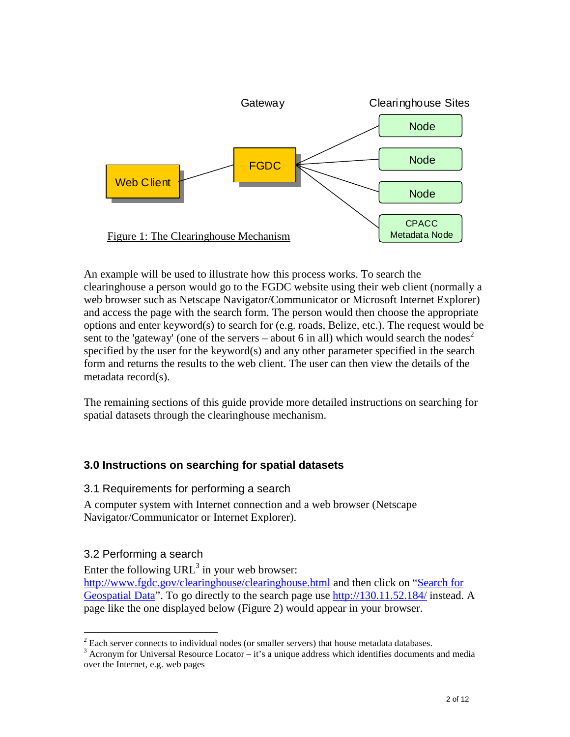<span id="page-3-0"></span>

An example will be used to illustrate how this process works. To search the clearinghouse a person would go to the FGDC website using their web client (normally a web browser such as Netscape Navigator/Communicator or Microsoft Internet Explorer) and access the page with the search form. The person would then choose the appropriate options and enter keyword(s) to search for (e.g. roads, Belize, etc.). The request would be sent to the 'gateway' (one of the servers – about 6 in all) which would search the nodes<sup>2</sup> specified by the user for the keyword(s) and any other parameter specified in the search form and returns the results to the web client. The user can then view the details of the metadata record(s).

The remaining sections of this guide provide more detailed instructions on searching for spatial datasets through the clearinghouse mechanism.

#### **3.0 Instructions on searching for spatial datasets**

#### 3.1 Requirements for performing a search

A computer system with Internet connection and a web browser (Netscape Navigator/Communicator or Internet Explorer).

#### 3.2 Performing a search

Enter the following URL<sup>3</sup> in your web browser: <http://www.fgdc.gov/clearinghouse/clearinghouse.html>and then click on ["Search for](http://130.11.52.184/)  [Geospatial Data"](http://130.11.52.184/). To go directly to the search page use <http://130.11.52.184/>instead. A page like the one displayed below (Figure 2) would appear in your browser.

 $\overline{a}$  $2^{2}$  Each server connects to individual nodes (or smaller servers) that house metadata databases.

 $3$  Acronym for Universal Resource Locator – it's a unique address which identifies documents and media over the Internet, e.g. web pages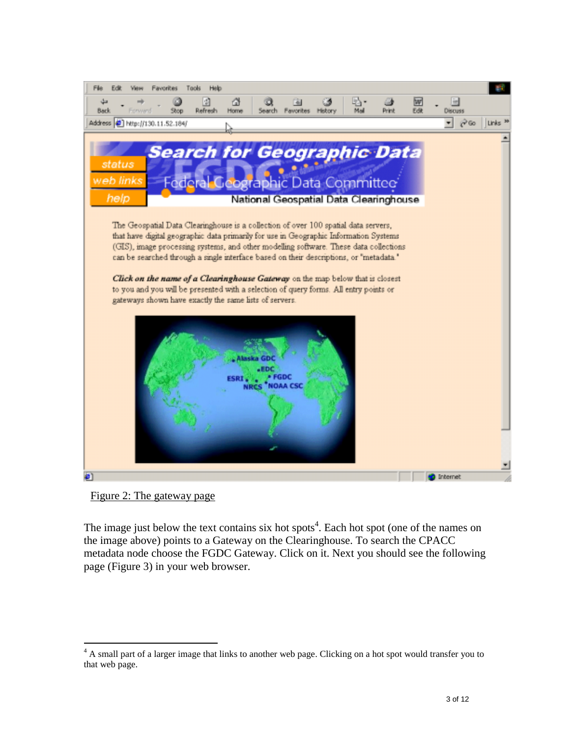

Figure 2: The gateway page

 $\overline{a}$ 

The image just below the text contains six hot spots<sup>4</sup>. Each hot spot (one of the names on the image above) points to a Gateway on the Clearinghouse. To search the CPACC metadata node choose the FGDC Gateway. Click on it. Next you should see the following page (Figure 3) in your web browser.

<sup>&</sup>lt;sup>4</sup> A small part of a larger image that links to another web page. Clicking on a hot spot would transfer you to that web page.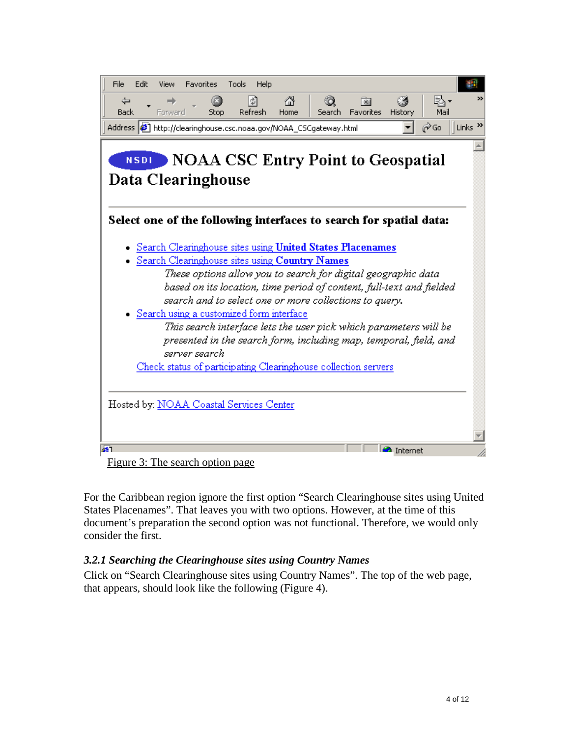<span id="page-5-0"></span>

Figure 3: The search option page

For the Caribbean region ignore the first option "Search Clearinghouse sites using United States Placenames". That leaves you with two options. However, at the time of this document's preparation the second option was not functional. Therefore, we would only consider the first.

#### *3.2.1 Searching the Clearinghouse sites using Country Names*

Click on "Search Clearinghouse sites using Country Names". The top of the web page, that appears, should look like the following (Figure 4).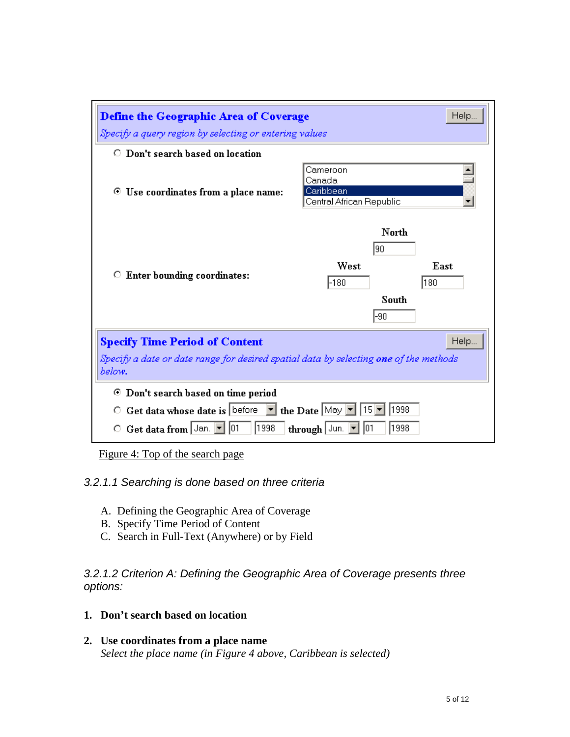<span id="page-6-0"></span>

| <b>Define the Geographic Area of Coverage</b>                                                                    |                                                             |             |  |  |  |  |
|------------------------------------------------------------------------------------------------------------------|-------------------------------------------------------------|-------------|--|--|--|--|
| Specify a query region by selecting or entering values                                                           |                                                             |             |  |  |  |  |
| $\circ$ Don't search based on location                                                                           |                                                             |             |  |  |  |  |
| Use coordinates from a place name:<br>⊙                                                                          | Cameroon<br>Canada<br>Caribbean<br>Central African Republic |             |  |  |  |  |
| <b>Enter bounding coordinates:</b><br>о                                                                          | North<br>190<br>West<br>-180<br>South<br>-90                | East<br>180 |  |  |  |  |
| Help<br><b>Specify Time Period of Content</b>                                                                    |                                                             |             |  |  |  |  |
| Specify a date or date range for desired spatial data by selecting <b>one</b> of the methods<br>below.           |                                                             |             |  |  |  |  |
| Don't search based on time period<br>◉                                                                           |                                                             |             |  |  |  |  |
| Get data whose date is before $\boxed{\bullet}$ the Date May $\boxed{\bullet}$ 15 $\boxed{\bullet}$<br>1998<br>О |                                                             |             |  |  |  |  |
| 1998<br>1998<br>101<br>Get data from   Jan.<br>through Jun.<br>О                                                 |                                                             |             |  |  |  |  |

Figure 4: Top of the search page

#### *3.2.1.1 Searching is done based on three criteria*

- A. Defining the Geographic Area of Coverage
- B. Specify Time Period of Content
- C. Search in Full-Text (Anywhere) or by Field

*3.2.1.2 Criterion A: Defining the Geographic Area of Coverage presents three options:* 

#### **1. Don't search based on location**

**2. Use coordinates from a place name**  *Select the place name (in Figure 4 above, Caribbean is selected)*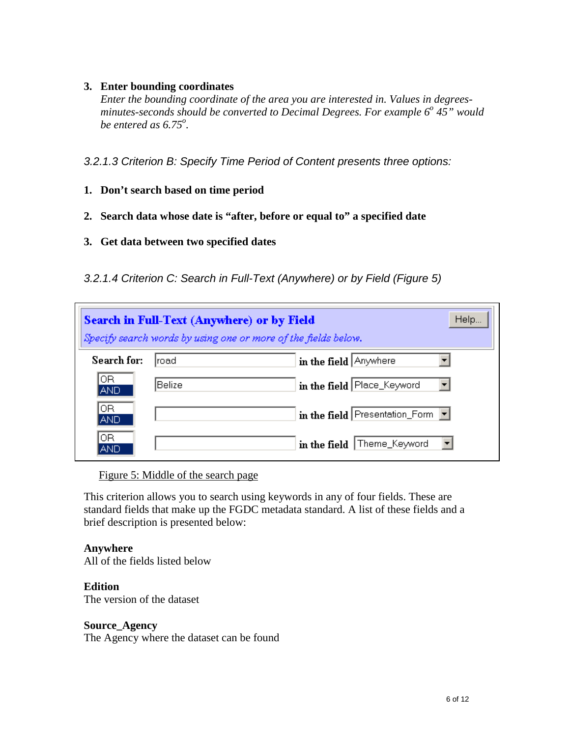#### <span id="page-7-0"></span>**3. Enter bounding coordinates**

*Enter the bounding coordinate of the area you are interested in. Values in degrees*minutes-seconds should be converted to Decimal Degrees. For example 6<sup>°</sup> 45" would *be entered as 6.75<sup>o</sup>.* 

*3.2.1.3 Criterion B: Specify Time Period of Content presents three options:* 

- **1. Don't search based on time period**
- **2. Search data whose date is "after, before or equal to" a specified date**
- **3. Get data between two specified dates**
- *3.2.1.4 Criterion C: Search in Full-Text (Anywhere) or by Field (Figure 5)*

| Help<br><b>Search in Full-Text (Anywhere) or by Field</b><br>Specify search words by using one or more of the fields below. |        |                                |  |  |  |  |
|-----------------------------------------------------------------------------------------------------------------------------|--------|--------------------------------|--|--|--|--|
| Search for:                                                                                                                 | Iroad  | in the field Anywhere          |  |  |  |  |
| IOR.<br><b>AND</b>                                                                                                          | Belize | in the field Place_Keyword     |  |  |  |  |
| 0R.<br><b>AND</b>                                                                                                           |        | in the field Presentation_Form |  |  |  |  |
| 0R.<br>AND                                                                                                                  |        | in the field   Theme_Keyword   |  |  |  |  |

Figure 5: Middle of the search page

This criterion allows you to search using keywords in any of four fields. These are standard fields that make up the FGDC metadata standard. A list of these fields and a brief description is presented below:

#### **Anywhere**

All of the fields listed below

#### **Edition**

The version of the dataset

#### **Source\_Agency**

The Agency where the dataset can be found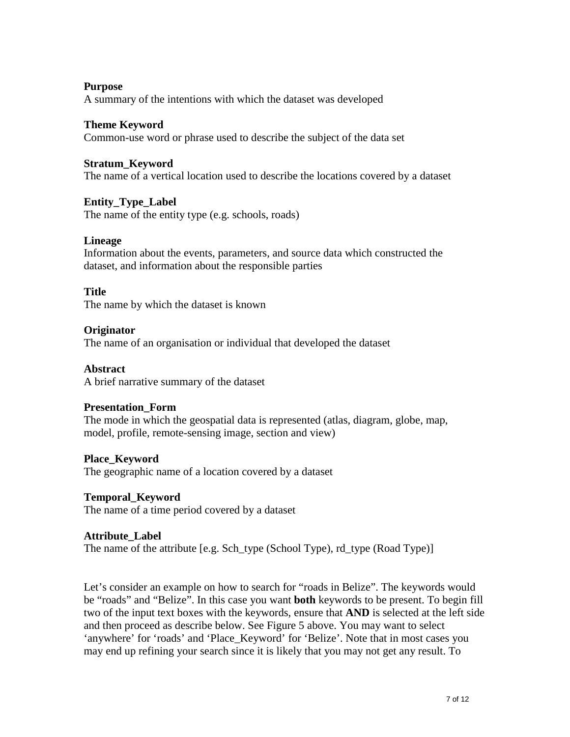#### **Purpose**  A summary of the intentions with which the dataset was developed

#### **Theme Keyword**

Common-use word or phrase used to describe the subject of the data set

#### **Stratum\_Keyword**

The name of a vertical location used to describe the locations covered by a dataset

#### **Entity\_Type\_Label**

The name of the entity type (e.g. schools, roads)

#### **Lineage**

Information about the events, parameters, and source data which constructed the dataset, and information about the responsible parties

#### **Title**

The name by which the dataset is known

#### **Originator**

The name of an organisation or individual that developed the dataset

#### **Abstract**

A brief narrative summary of the dataset

#### **Presentation\_Form**

The mode in which the geospatial data is represented (atlas, diagram, globe, map, model, profile, remote-sensing image, section and view)

#### **Place\_Keyword**

The geographic name of a location covered by a dataset

#### **Temporal\_Keyword**

The name of a time period covered by a dataset

#### **Attribute\_Label**

The name of the attribute [e.g. Sch\_type (School Type), rd\_type (Road Type)]

Let's consider an example on how to search for "roads in Belize". The keywords would be "roads" and "Belize". In this case you want **both** keywords to be present. To begin fill two of the input text boxes with the keywords, ensure that **AND** is selected at the left side and then proceed as describe below. See Figure 5 above. You may want to select 'anywhere' for 'roads' and 'Place\_Keyword' for 'Belize'. Note that in most cases you may end up refining your search since it is likely that you may not get any result. To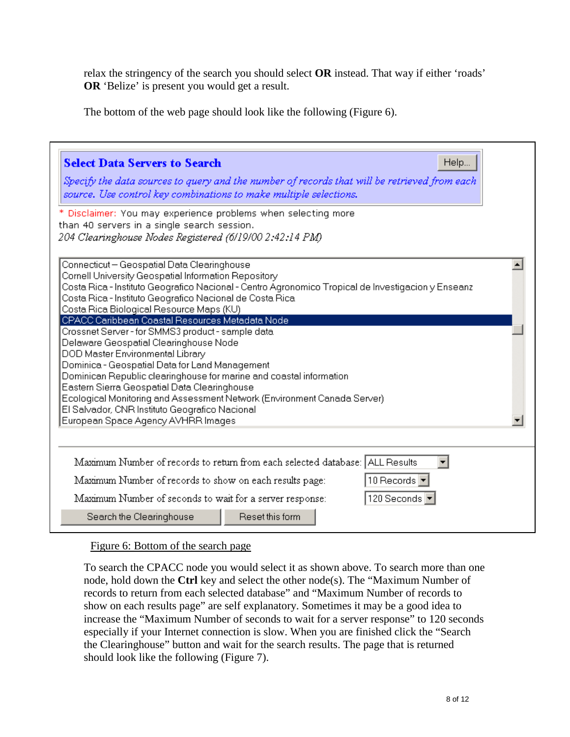relax the stringency of the search you should select **OR** instead. That way if either 'roads' **OR** 'Belize' is present you would get a result.

The bottom of the web page should look like the following (Figure 6).

| <b>Select Data Servers to Search</b><br>Help<br>Specify the data sources to query and the number of records that will be retrieved from each<br>source. Use control key combinations to make multiple selections.<br>* Disclaimer: You may experience problems when selecting more<br>than 40 servers in a single search session.<br>204 Clearinghouse Nodes Registered (6/19/00 2:42:14 PM)                                                                                                                                                                                                                                                                                                                                                                                                                                                         |
|------------------------------------------------------------------------------------------------------------------------------------------------------------------------------------------------------------------------------------------------------------------------------------------------------------------------------------------------------------------------------------------------------------------------------------------------------------------------------------------------------------------------------------------------------------------------------------------------------------------------------------------------------------------------------------------------------------------------------------------------------------------------------------------------------------------------------------------------------|
| Connecticut - Geospatial Data Clearinghouse<br>Cornell University Geospatial Information Repository<br>Costa Rica - Instituto Geografico Nacional - Centro Agronomico Tropical de Investigacion y Enseanz<br>Costa Rica - Instituto Geografico Nacional de Costa Rica<br>Costa Rica Biological Resource Maps (KU)<br>CPACC Caribbean Coastal Resources Metadata Node<br>Crossnet Server - for SMMS3 product - sample data<br>Delaware Geospatial Clearinghouse Node<br>DOD Master Environmental Library<br>Dominica - Geospatial Data for Land Management<br>Dominican Republic clearinghouse for marine and coastal information<br>Eastern Sierra Geospatial Data Clearinghouse<br>Ecological Monitoring and Assessment Network (Environment Canada Server)<br>El Salvador, CNR Instituto Geografico Nacional<br>European Space Agency AVHRR Images |
| Maximum Number of records to return from each selected database: ALL Results<br>10 Records $\blacktriangledown$<br>Maximum Number of records to show on each results page:<br>120 Seconds<br>Maximum Number of seconds to wait for a server response:<br>Reset this form<br>Search the Clearinghouse                                                                                                                                                                                                                                                                                                                                                                                                                                                                                                                                                 |

#### Figure 6: Bottom of the search page

To search the CPACC node you would select it as shown above. To search more than one node, hold down the **Ctrl** key and select the other node(s). The "Maximum Number of records to return from each selected database" and "Maximum Number of records to show on each results page" are self explanatory. Sometimes it may be a good idea to increase the "Maximum Number of seconds to wait for a server response" to 120 seconds especially if your Internet connection is slow. When you are finished click the "Search the Clearinghouse" button and wait for the search results. The page that is returned should look like the following (Figure 7).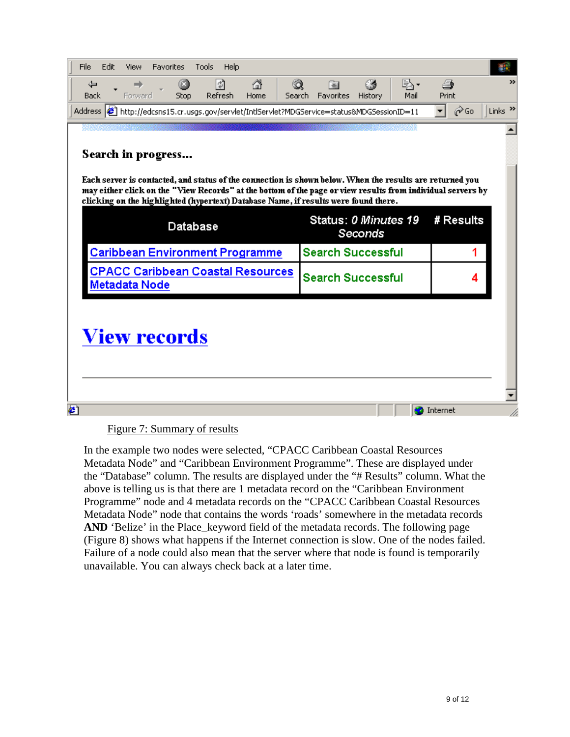| File<br>Edit.<br><b>Favorites</b><br>Help<br>View<br><b>Tools</b>                                                                                                                                                                                                                                              |                                                  |                                          |  |  |  |  |  |  |
|----------------------------------------------------------------------------------------------------------------------------------------------------------------------------------------------------------------------------------------------------------------------------------------------------------------|--------------------------------------------------|------------------------------------------|--|--|--|--|--|--|
| ⋒<br>団<br>ಿ<br>⇔<br>O<br>⇒<br>Refresh<br>Stop<br><b>Back</b><br>Forward<br>Home                                                                                                                                                                                                                                | LA -<br>囫<br>Search Favorites<br>History<br>Mail | $\rightarrow$<br>4<br>Print              |  |  |  |  |  |  |
| Address <b>6</b> http://edcsns15.cr.usgs.gov/servlet/IntlServlet?MDGService=status&MDGSessionID=11                                                                                                                                                                                                             |                                                  | Links <sup>&gt;&gt;</sup><br><b>⊘</b> Go |  |  |  |  |  |  |
|                                                                                                                                                                                                                                                                                                                |                                                  |                                          |  |  |  |  |  |  |
| Search in progress                                                                                                                                                                                                                                                                                             |                                                  |                                          |  |  |  |  |  |  |
| Each server is contacted, and status of the connection is shown below. When the results are returned you<br>may either click on the "View Records" at the bottom of the page or view results from individual servers by<br>clicking on the highlighted (hypertext) Database Name, if results were found there. |                                                  |                                          |  |  |  |  |  |  |
| Database                                                                                                                                                                                                                                                                                                       | Status: 0 Minutes 19<br>Seconds                  | # Results                                |  |  |  |  |  |  |
| <b>Caribbean Environment Programme</b>                                                                                                                                                                                                                                                                         | <b>Search Successful</b>                         | 1                                        |  |  |  |  |  |  |
| <b>CPACC Caribbean Coastal Resources</b><br>Metadata Node                                                                                                                                                                                                                                                      | <b>Search Successful</b>                         | 4                                        |  |  |  |  |  |  |
| View records                                                                                                                                                                                                                                                                                                   |                                                  |                                          |  |  |  |  |  |  |

#### Figure 7: Summary of results

In the example two nodes were selected, "CPACC Caribbean Coastal Resources Metadata Node" and "Caribbean Environment Programme". These are displayed under the "Database" column. The results are displayed under the "# Results" column. What the above is telling us is that there are 1 metadata record on the "Caribbean Environment Programme" node and 4 metadata records on the "CPACC Caribbean Coastal Resources Metadata Node" node that contains the words 'roads' somewhere in the metadata records AND 'Belize' in the Place keyword field of the metadata records. The following page (Figure 8) shows what happens if the Internet connection is slow. One of the nodes failed. Failure of a node could also mean that the server where that node is found is temporarily unavailable. You can always check back at a later time.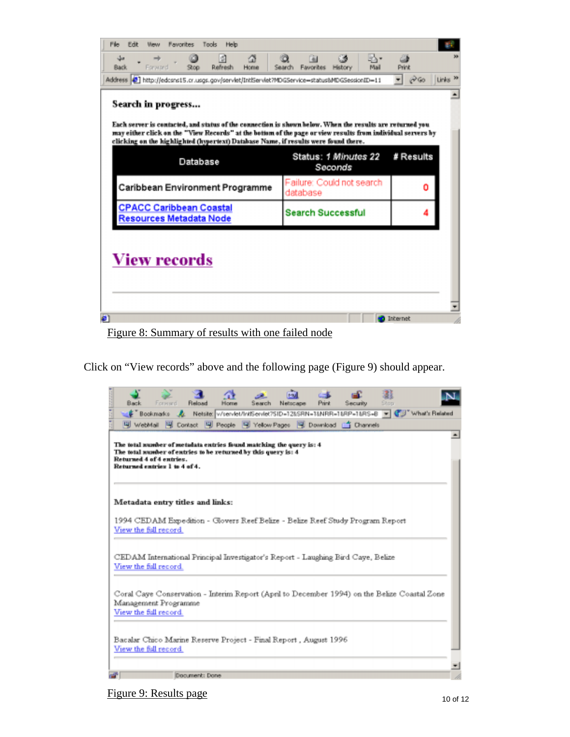| Favorites<br>Search<br>Mail<br>History | Print                                                                                                                                                                                                                                                                                                                                                                                                                                                           |  |
|----------------------------------------|-----------------------------------------------------------------------------------------------------------------------------------------------------------------------------------------------------------------------------------------------------------------------------------------------------------------------------------------------------------------------------------------------------------------------------------------------------------------|--|
|                                        | $ \partial$ Go<br>Links <sup>N</sup>                                                                                                                                                                                                                                                                                                                                                                                                                            |  |
|                                        |                                                                                                                                                                                                                                                                                                                                                                                                                                                                 |  |
|                                        |                                                                                                                                                                                                                                                                                                                                                                                                                                                                 |  |
|                                        |                                                                                                                                                                                                                                                                                                                                                                                                                                                                 |  |
| Status: 1 Minutes 22<br>Seconds        | # Results                                                                                                                                                                                                                                                                                                                                                                                                                                                       |  |
| Failure: Could not search<br>database  | o                                                                                                                                                                                                                                                                                                                                                                                                                                                               |  |
| <b>Search Successful</b>               |                                                                                                                                                                                                                                                                                                                                                                                                                                                                 |  |
|                                        |                                                                                                                                                                                                                                                                                                                                                                                                                                                                 |  |
|                                        |                                                                                                                                                                                                                                                                                                                                                                                                                                                                 |  |
|                                        | Address $ \mathfrak{S} $ http://edcsrs15.cr.usgs.gov/servlet/IntiServlet?MDGService=status&MDGSessionID=11<br>Each server is contacted, and status of the connection is shown below. When the results are returned you<br>may either click on the "View Records" at the bottom of the page or view results from individual servers by<br>clicking on the highlighted (hypertext) Database Name, if results were found there.<br>Caribbean Environment Programme |  |

Click on "View records" above and the following page (Figure 9) should appear.

|      | Back | Forward                                                   | <b>Reload</b>                                                  | Hinrow | Search | Netscape                                                            | Print | Security                                                                                     | Stoo |  |
|------|------|-----------------------------------------------------------|----------------------------------------------------------------|--------|--------|---------------------------------------------------------------------|-------|----------------------------------------------------------------------------------------------|------|--|
|      |      |                                                           |                                                                |        |        |                                                                     |       | Bookmarks & Netsite v/servlet/Int/Servlet/SID=12&SRN=1&NRR=1&RP=1&RS=B = C Vhat's Related    |      |  |
|      |      |                                                           |                                                                |        |        |                                                                     |       | 떽 WebMail 멕 Contact 및 People 및 Yelow Pages 및 Download (즉 Channels                            |      |  |
|      |      | Returned 4 of 4 entries.<br>Returned entries 1 to 4 of 4. | The total number of entries to be returned by this query is: 4 |        |        | The total number of metadata entries found matching the query is: 4 |       |                                                                                              |      |  |
|      |      |                                                           | Metadata entry titles and links:                               |        |        |                                                                     |       |                                                                                              |      |  |
|      |      | View the full record.                                     |                                                                |        |        |                                                                     |       | 1994 CEDAM Expedition - Glovers Reef Belize - Belize Reef Study Program Report               |      |  |
|      |      | View the full record.                                     |                                                                |        |        |                                                                     |       | CEDAM International Principal Investigator's Report - Laughing Bird Caye, Belize             |      |  |
|      |      | Management Programme<br>View the full record.             |                                                                |        |        |                                                                     |       | Coral Caye Conservation - Interim Report (April to December 1994) on the Belize Coastal Zone |      |  |
|      |      | View the full record.                                     |                                                                |        |        | Bacalar Chico Marine Reserve Project - Final Report , August 1996   |       |                                                                                              |      |  |
| ar I |      |                                                           | Document: Done                                                 |        |        |                                                                     |       |                                                                                              |      |  |

Figure 9: Results page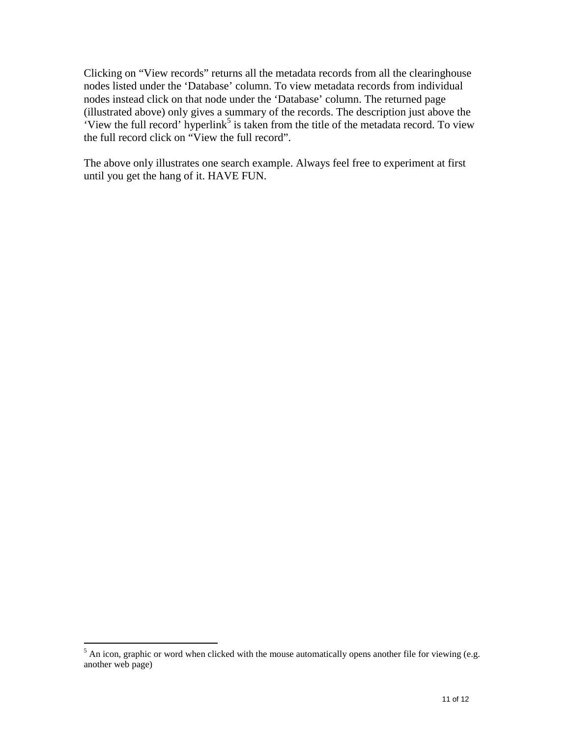Clicking on "View records" returns all the metadata records from all the clearinghouse nodes listed under the 'Database' column. To view metadata records from individual nodes instead click on that node under the 'Database' column. The returned page (illustrated above) only gives a summary of the records. The description just above the 'View the full record' hyperlink<sup>5</sup> is taken from the title of the metadata record. To view the full record click on "View the full record".

The above only illustrates one search example. Always feel free to experiment at first until you get the hang of it. HAVE FUN.

<sup>&</sup>lt;sup>5</sup> An icon, graphic or word when clicked with the mouse automatically opens another file for viewing (e.g. another web page)